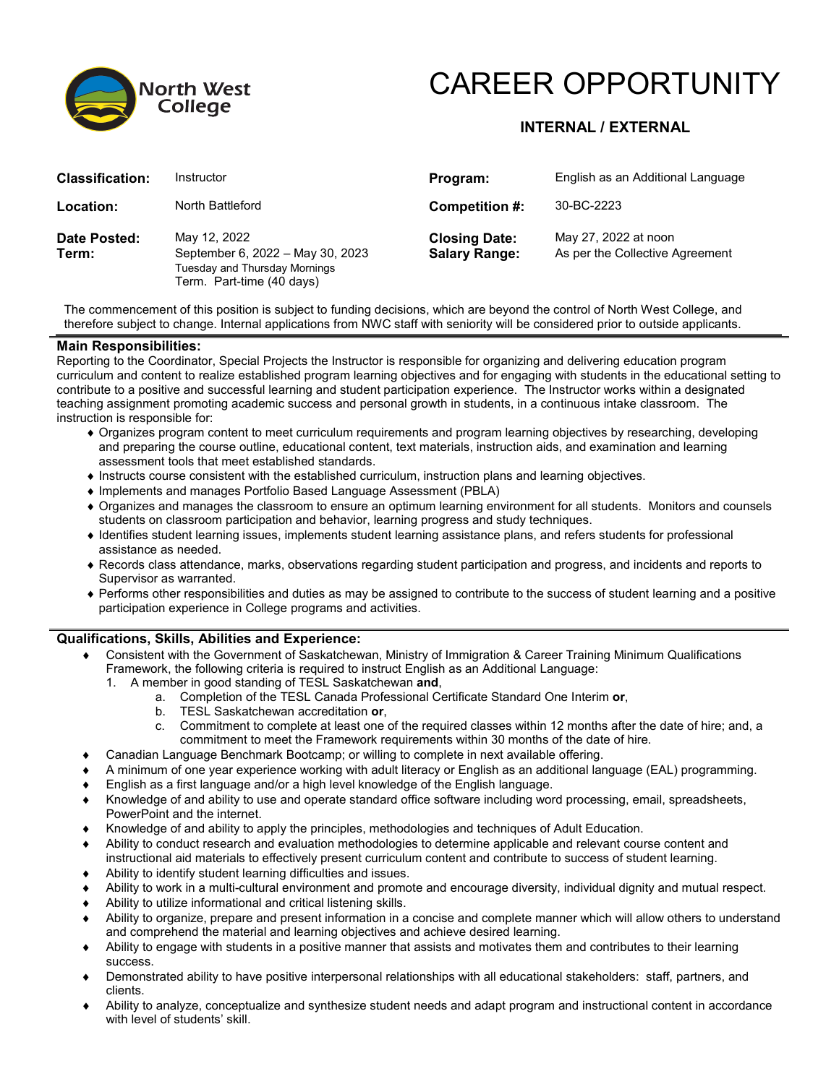

# CAREER OPPORTUNITY

## **INTERNAL / EXTERNAL**

| <b>Classification:</b> | Instructor                                                                                                     | Program:                                     | English as an Additional Language                       |
|------------------------|----------------------------------------------------------------------------------------------------------------|----------------------------------------------|---------------------------------------------------------|
| Location:              | North Battleford                                                                                               | Competition #:                               | 30-BC-2223                                              |
| Date Posted:<br>Term:  | May 12, 2022<br>September 6, 2022 - May 30, 2023<br>Tuesday and Thursday Mornings<br>Term. Part-time (40 days) | <b>Closing Date:</b><br><b>Salary Range:</b> | May 27, 2022 at noon<br>As per the Collective Agreement |

The commencement of this position is subject to funding decisions, which are beyond the control of North West College, and therefore subject to change. Internal applications from NWC staff with seniority will be considered prior to outside applicants.

#### **Main Responsibilities:**

Reporting to the Coordinator, Special Projects the Instructor is responsible for organizing and delivering education program curriculum and content to realize established program learning objectives and for engaging with students in the educational setting to contribute to a positive and successful learning and student participation experience. The Instructor works within a designated teaching assignment promoting academic success and personal growth in students, in a continuous intake classroom. The instruction is responsible for:

- ♦ Organizes program content to meet curriculum requirements and program learning objectives by researching, developing and preparing the course outline, educational content, text materials, instruction aids, and examination and learning assessment tools that meet established standards.
- ♦ Instructs course consistent with the established curriculum, instruction plans and learning objectives.
- ♦ Implements and manages Portfolio Based Language Assessment (PBLA)
- ♦ Organizes and manages the classroom to ensure an optimum learning environment for all students. Monitors and counsels students on classroom participation and behavior, learning progress and study techniques.
- ♦ Identifies student learning issues, implements student learning assistance plans, and refers students for professional assistance as needed.
- ♦ Records class attendance, marks, observations regarding student participation and progress, and incidents and reports to Supervisor as warranted.
- ♦ Performs other responsibilities and duties as may be assigned to contribute to the success of student learning and a positive participation experience in College programs and activities.

#### **Qualifications, Skills, Abilities and Experience:**

- ♦ Consistent with the Government of Saskatchewan, Ministry of Immigration & Career Training Minimum Qualifications Framework, the following criteria is required to instruct English as an Additional Language:
	- 1. A member in good standing of TESL Saskatchewan **and**,
		- a. Completion of the TESL Canada Professional Certificate Standard One Interim **or**,
		- b. TESL Saskatchewan accreditation **or**,
		- c. Commitment to complete at least one of the required classes within 12 months after the date of hire; and, a commitment to meet the Framework requirements within 30 months of the date of hire.
- ♦ Canadian Language Benchmark Bootcamp; or willing to complete in next available offering.
- A minimum of one year experience working with adult literacy or English as an additional language (EAL) programming.
- English as a first language and/or a high level knowledge of the English language.
- ♦ Knowledge of and ability to use and operate standard office software including word processing, email, spreadsheets, PowerPoint and the internet.
- ♦ Knowledge of and ability to apply the principles, methodologies and techniques of Adult Education.
- ♦ Ability to conduct research and evaluation methodologies to determine applicable and relevant course content and instructional aid materials to effectively present curriculum content and contribute to success of student learning.
- ♦ Ability to identify student learning difficulties and issues.
- ♦ Ability to work in a multi-cultural environment and promote and encourage diversity, individual dignity and mutual respect.
- Ability to utilize informational and critical listening skills.
- ♦ Ability to organize, prepare and present information in a concise and complete manner which will allow others to understand and comprehend the material and learning objectives and achieve desired learning.
- ♦ Ability to engage with students in a positive manner that assists and motivates them and contributes to their learning success.
- ♦ Demonstrated ability to have positive interpersonal relationships with all educational stakeholders: staff, partners, and clients.
- ♦ Ability to analyze, conceptualize and synthesize student needs and adapt program and instructional content in accordance with level of students' skill.